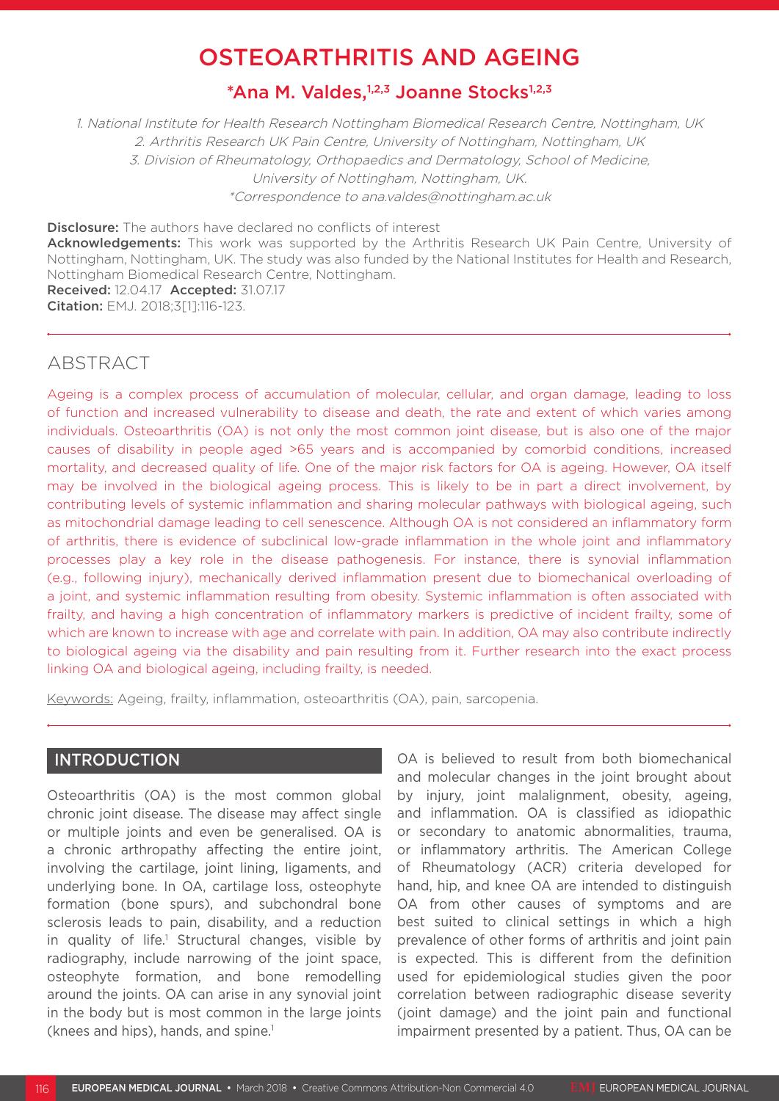# OSTEOARTHRITIS AND AGEING

# \*Ana M. Valdes,1,2,3 Joanne Stocks1,2,3

1. National Institute for Health Research Nottingham Biomedical Research Centre, Nottingham, UK 2. Arthritis Research UK Pain Centre, University of Nottingham, Nottingham, UK 3. Division of Rheumatology, Orthopaedics and Dermatology, School of Medicine, University of Nottingham, Nottingham, UK. \*Correspondence to ana.valdes@nottingham.ac.uk

Disclosure: The authors have declared no conflicts of interest Acknowledgements: This work was supported by the Arthritis Research UK Pain Centre, University of Nottingham, Nottingham, UK. The study was also funded by the National Institutes for Health and Research, Nottingham Biomedical Research Centre, Nottingham. Received: 12.04.17 Accepted: 31.07.17

Citation: EMJ. 2018;3[1]:116-123.

# ABSTRACT

Ageing is a complex process of accumulation of molecular, cellular, and organ damage, leading to loss of function and increased vulnerability to disease and death, the rate and extent of which varies among individuals. Osteoarthritis (OA) is not only the most common joint disease, but is also one of the major causes of disability in people aged >65 years and is accompanied by comorbid conditions, increased mortality, and decreased quality of life. One of the major risk factors for OA is ageing. However, OA itself may be involved in the biological ageing process. This is likely to be in part a direct involvement, by contributing levels of systemic inflammation and sharing molecular pathways with biological ageing, such as mitochondrial damage leading to cell senescence. Although OA is not considered an inflammatory form of arthritis, there is evidence of subclinical low-grade inflammation in the whole joint and inflammatory processes play a key role in the disease pathogenesis. For instance, there is synovial inflammation (e.g., following injury), mechanically derived inflammation present due to biomechanical overloading of a joint, and systemic inflammation resulting from obesity. Systemic inflammation is often associated with frailty, and having a high concentration of inflammatory markers is predictive of incident frailty, some of which are known to increase with age and correlate with pain. In addition, OA may also contribute indirectly to biological ageing via the disability and pain resulting from it. Further research into the exact process linking OA and biological ageing, including frailty, is needed.

Keywords: Ageing, frailty, inflammation, osteoarthritis (OA), pain, sarcopenia.

### INTRODUCTION

Osteoarthritis (OA) is the most common global chronic joint disease. The disease may affect single or multiple joints and even be generalised. OA is a chronic arthropathy affecting the entire joint, involving the cartilage, joint lining, ligaments, and underlying bone. In OA, cartilage loss, osteophyte formation (bone spurs), and subchondral bone sclerosis leads to pain, disability, and a reduction in quality of life.<sup>1</sup> Structural changes, visible by radiography, include narrowing of the joint space, osteophyte formation, and bone remodelling around the joints. OA can arise in any synovial joint in the body but is most common in the large joints (knees and hips), hands, and spine. $1$ 

OA is believed to result from both biomechanical and molecular changes in the joint brought about by injury, joint malalignment, obesity, ageing, and inflammation. OA is classified as idiopathic or secondary to anatomic abnormalities, trauma, or inflammatory arthritis. The American College of Rheumatology (ACR) criteria developed for hand, hip, and knee OA are intended to distinguish OA from other causes of symptoms and are best suited to clinical settings in which a high prevalence of other forms of arthritis and joint pain is expected. This is different from the definition used for epidemiological studies given the poor correlation between radiographic disease severity (joint damage) and the joint pain and functional impairment presented by a patient. Thus, OA can be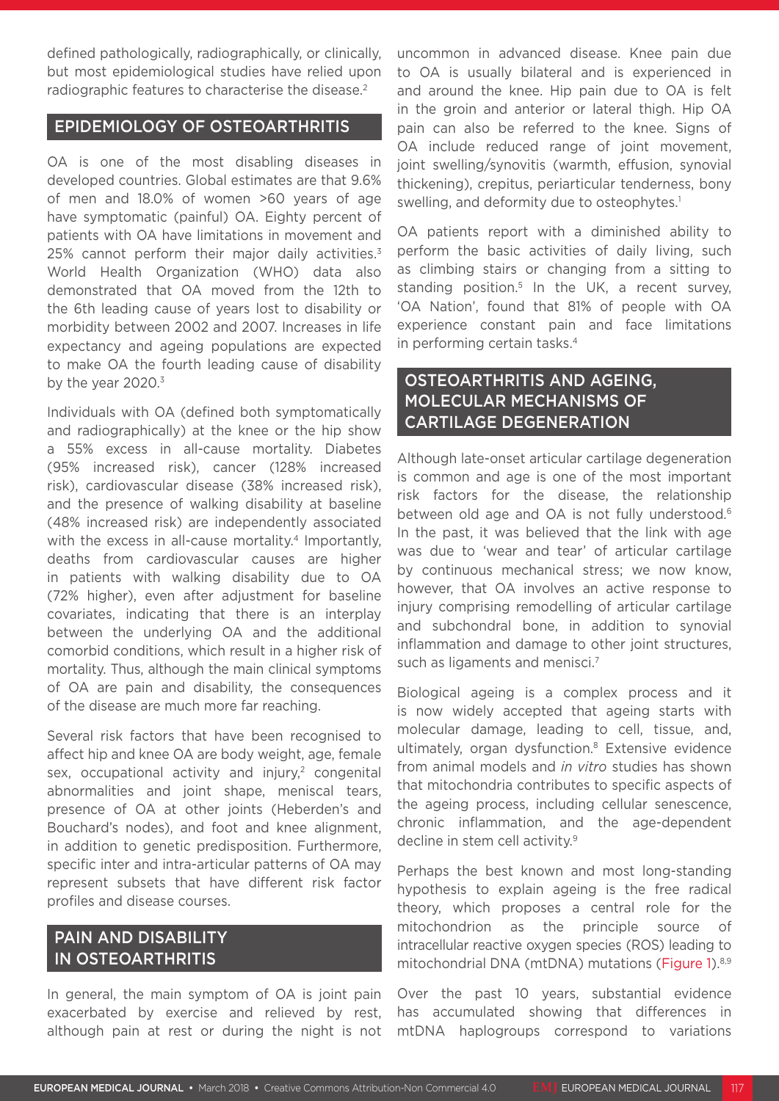defined pathologically, radiographically, or clinically, but most epidemiological studies have relied upon radiographic features to characterise the disease.<sup>2</sup>

### EPIDEMIOLOGY OF OSTEOARTHRITIS

OA is one of the most disabling diseases in developed countries. Global estimates are that 9.6% of men and 18.0% of women >60 years of age have symptomatic (painful) OA. Eighty percent of patients with OA have limitations in movement and 25% cannot perform their major daily activities.<sup>3</sup> World Health Organization (WHO) data also demonstrated that OA moved from the 12th to the 6th leading cause of years lost to disability or morbidity between 2002 and 2007. Increases in life expectancy and ageing populations are expected to make OA the fourth leading cause of disability by the year  $2020$ .<sup>3</sup>

Individuals with OA (defined both symptomatically and radiographically) at the knee or the hip show a 55% excess in all-cause mortality. Diabetes (95% increased risk), cancer (128% increased risk), cardiovascular disease (38% increased risk), and the presence of walking disability at baseline (48% increased risk) are independently associated with the excess in all-cause mortality.<sup>4</sup> Importantly, deaths from cardiovascular causes are higher in patients with walking disability due to OA (72% higher), even after adjustment for baseline covariates, indicating that there is an interplay between the underlying OA and the additional comorbid conditions, which result in a higher risk of mortality. Thus, although the main clinical symptoms of OA are pain and disability, the consequences of the disease are much more far reaching.

Several risk factors that have been recognised to affect hip and knee OA are body weight, age, female sex, occupational activity and injury, $2$  congenital abnormalities and joint shape, meniscal tears, presence of OA at other joints (Heberden's and Bouchard's nodes), and foot and knee alignment, in addition to genetic predisposition. Furthermore, specific inter and intra-articular patterns of OA may represent subsets that have different risk factor profiles and disease courses.

# PAIN AND DISABILITY IN OSTEOARTHRITIS

In general, the main symptom of OA is joint pain exacerbated by exercise and relieved by rest, although pain at rest or during the night is not uncommon in advanced disease. Knee pain due to OA is usually bilateral and is experienced in and around the knee. Hip pain due to OA is felt in the groin and anterior or lateral thigh. Hip OA pain can also be referred to the knee. Signs of OA include reduced range of joint movement, joint swelling/synovitis (warmth, effusion, synovial thickening), crepitus, periarticular tenderness, bony swelling, and deformity due to osteophytes.<sup>1</sup>

OA patients report with a diminished ability to perform the basic activities of daily living, such as climbing stairs or changing from a sitting to standing position.<sup>5</sup> In the UK, a recent survey, 'OA Nation', found that 81% of people with OA experience constant pain and face limitations in performing certain tasks.4

# OSTEOARTHRITIS AND AGEING, MOLECULAR MECHANISMS OF CARTILAGE DEGENERATION

Although late-onset articular cartilage degeneration is common and age is one of the most important risk factors for the disease, the relationship between old age and OA is not fully understood.<sup>6</sup> In the past, it was believed that the link with age was due to 'wear and tear' of articular cartilage by continuous mechanical stress; we now know, however, that OA involves an active response to injury comprising remodelling of articular cartilage and subchondral bone, in addition to synovial inflammation and damage to other joint structures, such as ligaments and menisci.<sup>7</sup>

Biological ageing is a complex process and it is now widely accepted that ageing starts with molecular damage, leading to cell, tissue, and, ultimately, organ dysfunction.8 Extensive evidence from animal models and *in vitro* studies has shown that mitochondria contributes to specific aspects of the ageing process, including cellular senescence, chronic inflammation, and the age-dependent decline in stem cell activity.<sup>9</sup>

Perhaps the best known and most long-standing hypothesis to explain ageing is the free radical theory, which proposes a central role for the mitochondrion as the principle source of intracellular reactive oxygen species (ROS) leading to mitochondrial DNA (mtDNA) mutations (Figure 1).<sup>8,9</sup>

Over the past 10 years, substantial evidence has accumulated showing that differences in mtDNA haplogroups correspond to variations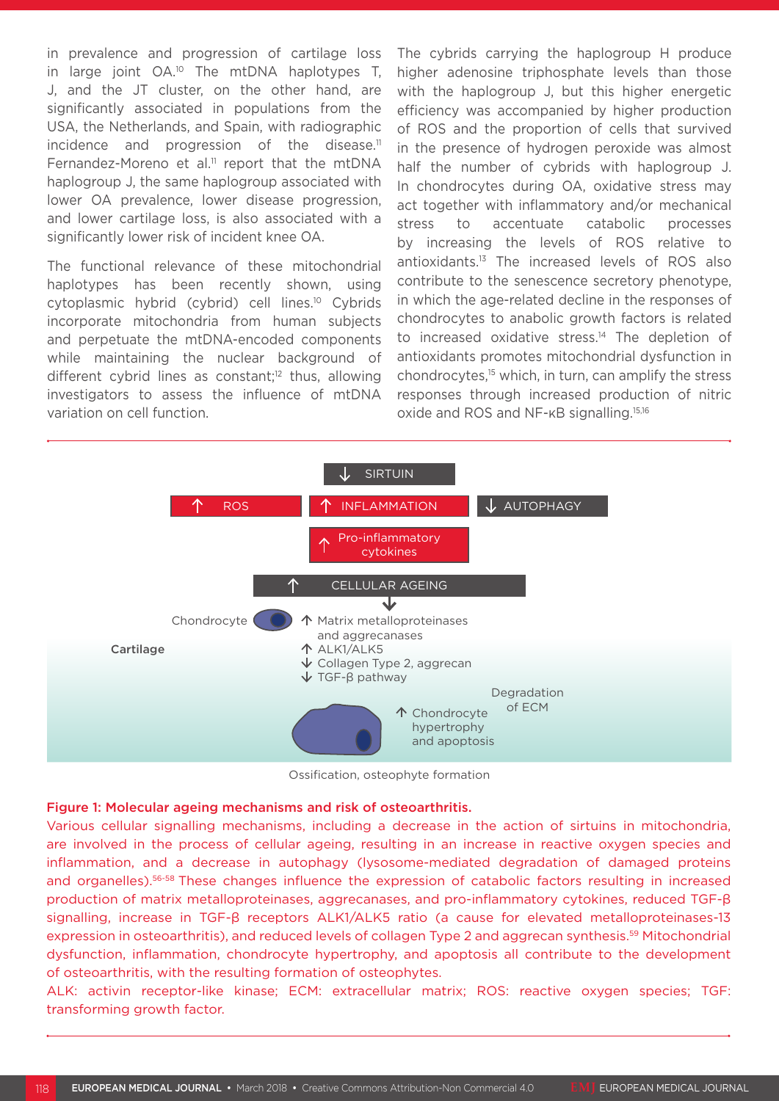in prevalence and progression of cartilage loss in large joint OA.<sup>10</sup> The mtDNA haplotypes T, J, and the JT cluster, on the other hand, are significantly associated in populations from the USA, the Netherlands, and Spain, with radiographic incidence and progression of the disease.<sup>11</sup> Fernandez-Moreno et al.<sup>11</sup> report that the mtDNA haplogroup J, the same haplogroup associated with lower OA prevalence, lower disease progression, and lower cartilage loss, is also associated with a significantly lower risk of incident knee OA.

The functional relevance of these mitochondrial haplotypes has been recently shown, using cytoplasmic hybrid (cybrid) cell lines.<sup>10</sup> Cybrids incorporate mitochondria from human subjects and perpetuate the mtDNA-encoded components while maintaining the nuclear background of different cybrid lines as constant;<sup>12</sup> thus, allowing investigators to assess the influence of mtDNA variation on cell function.

The cybrids carrying the haplogroup H produce higher adenosine triphosphate levels than those with the haplogroup J, but this higher energetic efficiency was accompanied by higher production of ROS and the proportion of cells that survived in the presence of hydrogen peroxide was almost half the number of cybrids with haplogroup J. In chondrocytes during OA, oxidative stress may act together with inflammatory and/or mechanical stress to accentuate catabolic processes by increasing the levels of ROS relative to antioxidants.13 The increased levels of ROS also contribute to the senescence secretory phenotype, in which the age-related decline in the responses of chondrocytes to anabolic growth factors is related to increased oxidative stress.<sup>14</sup> The depletion of antioxidants promotes mitochondrial dysfunction in chondrocytes,<sup>15</sup> which, in turn, can amplify the stress responses through increased production of nitric oxide and ROS and NF-κB signalling.15,16



Ossification, osteophyte formation

#### Figure 1: Molecular ageing mechanisms and risk of osteoarthritis.

Various cellular signalling mechanisms, including a decrease in the action of sirtuins in mitochondria, are involved in the process of cellular ageing, resulting in an increase in reactive oxygen species and inflammation, and a decrease in autophagy (lysosome-mediated degradation of damaged proteins and organelles).56-58 These changes influence the expression of catabolic factors resulting in increased production of matrix metalloproteinases, aggrecanases, and pro-inflammatory cytokines, reduced TGF-β signalling, increase in TGF-β receptors ALK1/ALK5 ratio (a cause for elevated metalloproteinases-13 expression in osteoarthritis), and reduced levels of collagen Type 2 and aggrecan synthesis.<sup>59</sup> Mitochondrial dysfunction, inflammation, chondrocyte hypertrophy, and apoptosis all contribute to the development of osteoarthritis, with the resulting formation of osteophytes.

ALK: activin receptor-like kinase; ECM: extracellular matrix; ROS: reactive oxygen species; TGF: transforming growth factor.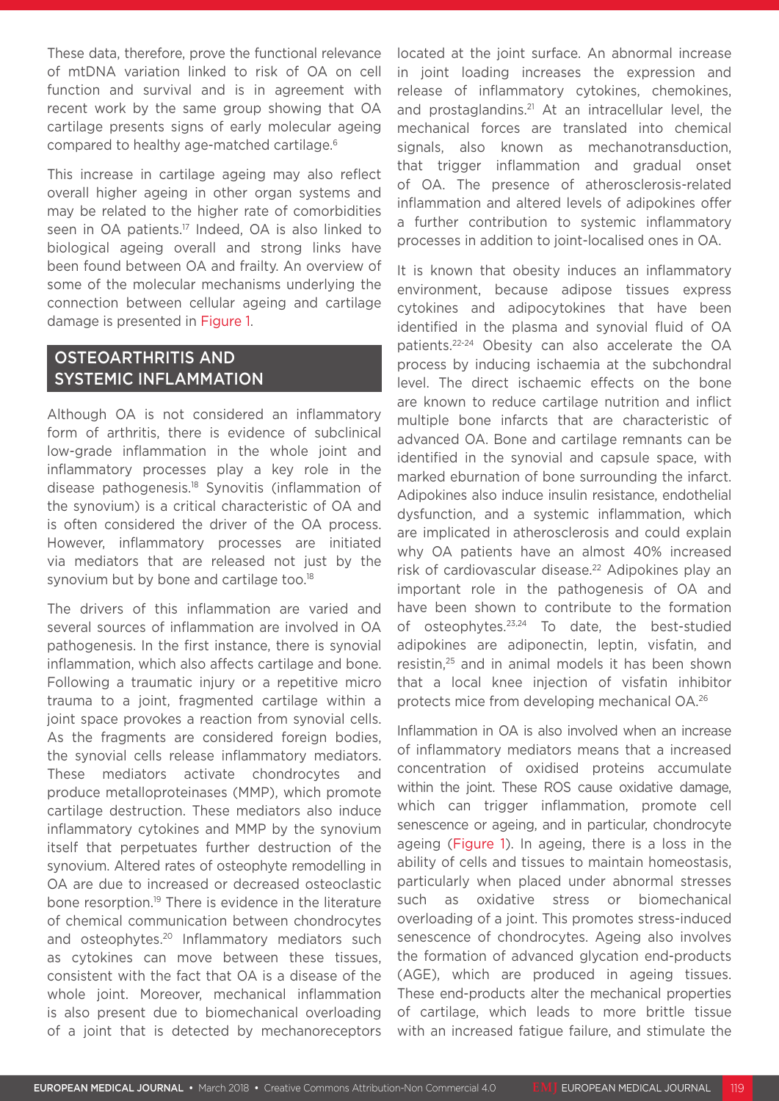These data, therefore, prove the functional relevance of mtDNA variation linked to risk of OA on cell function and survival and is in agreement with recent work by the same group showing that OA cartilage presents signs of early molecular ageing compared to healthy age-matched cartilage.<sup>6</sup>

This increase in cartilage ageing may also reflect overall higher ageing in other organ systems and may be related to the higher rate of comorbidities seen in OA patients.<sup>17</sup> Indeed, OA is also linked to biological ageing overall and strong links have been found between OA and frailty. An overview of some of the molecular mechanisms underlying the connection between cellular ageing and cartilage damage is presented in Figure 1.

# OSTEOARTHRITIS AND SYSTEMIC INFLAMMATION

Although OA is not considered an inflammatory form of arthritis, there is evidence of subclinical low-grade inflammation in the whole joint and inflammatory processes play a key role in the disease pathogenesis.18 Synovitis (inflammation of the synovium) is a critical characteristic of OA and is often considered the driver of the OA process. However, inflammatory processes are initiated via mediators that are released not just by the synovium but by bone and cartilage too.<sup>18</sup>

The drivers of this inflammation are varied and several sources of inflammation are involved in OA pathogenesis. In the first instance, there is synovial inflammation, which also affects cartilage and bone. Following a traumatic injury or a repetitive micro trauma to a joint, fragmented cartilage within a joint space provokes a reaction from synovial cells. As the fragments are considered foreign bodies, the synovial cells release inflammatory mediators. These mediators activate chondrocytes and produce metalloproteinases (MMP), which promote cartilage destruction. These mediators also induce inflammatory cytokines and MMP by the synovium itself that perpetuates further destruction of the synovium. Altered rates of osteophyte remodelling in OA are due to increased or decreased osteoclastic bone resorption.19 There is evidence in the literature of chemical communication between chondrocytes and osteophytes.<sup>20</sup> Inflammatory mediators such as cytokines can move between these tissues, consistent with the fact that OA is a disease of the whole joint. Moreover, mechanical inflammation is also present due to biomechanical overloading of a joint that is detected by mechanoreceptors

located at the joint surface. An abnormal increase in joint loading increases the expression and release of inflammatory cytokines, chemokines, and prostaglandins.<sup>21</sup> At an intracellular level. the mechanical forces are translated into chemical signals, also known as mechanotransduction, that trigger inflammation and gradual onset of OA. The presence of atherosclerosis-related inflammation and altered levels of adipokines offer a further contribution to systemic inflammatory processes in addition to joint-localised ones in OA.

It is known that obesity induces an inflammatory environment, because adipose tissues express cytokines and adipocytokines that have been identified in the plasma and synovial fluid of OA patients.22-24 Obesity can also accelerate the OA process by inducing ischaemia at the subchondral level. The direct ischaemic effects on the bone are known to reduce cartilage nutrition and inflict multiple bone infarcts that are characteristic of advanced OA. Bone and cartilage remnants can be identified in the synovial and capsule space, with marked eburnation of bone surrounding the infarct. Adipokines also induce insulin resistance, endothelial dysfunction, and a systemic inflammation, which are implicated in atherosclerosis and could explain why OA patients have an almost 40% increased risk of cardiovascular disease.<sup>22</sup> Adipokines play an important role in the pathogenesis of OA and have been shown to contribute to the formation of osteophytes.23,24 To date, the best-studied adipokines are adiponectin, leptin, visfatin, and resistin,25 and in animal models it has been shown that a local knee injection of visfatin inhibitor protects mice from developing mechanical OA.26

Inflammation in OA is also involved when an increase of inflammatory mediators means that a increased concentration of oxidised proteins accumulate within the joint. These ROS cause oxidative damage, which can trigger inflammation, promote cell senescence or ageing, and in particular, chondrocyte ageing (Figure 1). In ageing, there is a loss in the ability of cells and tissues to maintain homeostasis, particularly when placed under abnormal stresses such as oxidative stress or biomechanical overloading of a joint. This promotes stress-induced senescence of chondrocytes. Ageing also involves the formation of advanced glycation end-products (AGE), which are produced in ageing tissues. These end-products alter the mechanical properties of cartilage, which leads to more brittle tissue with an increased fatigue failure, and stimulate the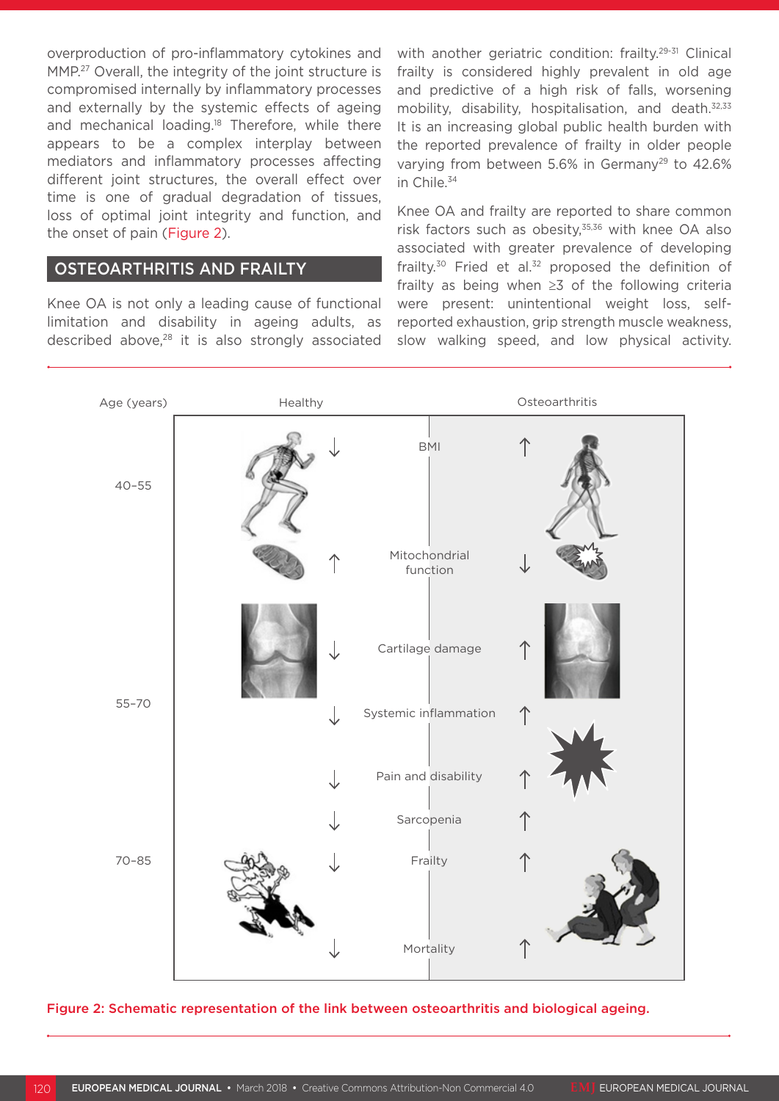overproduction of pro-inflammatory cytokines and MMP.<sup>27</sup> Overall, the integrity of the joint structure is compromised internally by inflammatory processes and externally by the systemic effects of ageing and mechanical loading.<sup>18</sup> Therefore, while there appears to be a complex interplay between mediators and inflammatory processes affecting different joint structures, the overall effect over time is one of gradual degradation of tissues, loss of optimal joint integrity and function, and the onset of pain (Figure 2).

### OSTEOARTHRITIS AND FRAILTY

Knee OA is not only a leading cause of functional limitation and disability in ageing adults, as described above,<sup>28</sup> it is also strongly associated with another geriatric condition: frailty.<sup>29-31</sup> Clinical frailty is considered highly prevalent in old age and predictive of a high risk of falls, worsening mobility, disability, hospitalisation, and death.<sup>32,33</sup> It is an increasing global public health burden with the reported prevalence of frailty in older people varying from between 5.6% in Germany<sup>29</sup> to 42.6% in Chile.34

Knee OA and frailty are reported to share common risk factors such as obesity, $35,36$  with knee OA also associated with greater prevalence of developing frailty.<sup>30</sup> Fried et al.<sup>32</sup> proposed the definition of frailty as being when ≥3 of the following criteria were present: unintentional weight loss, selfreported exhaustion, grip strength muscle weakness, slow walking speed, and low physical activity.



Figure 2: Schematic representation of the link between osteoarthritis and biological ageing.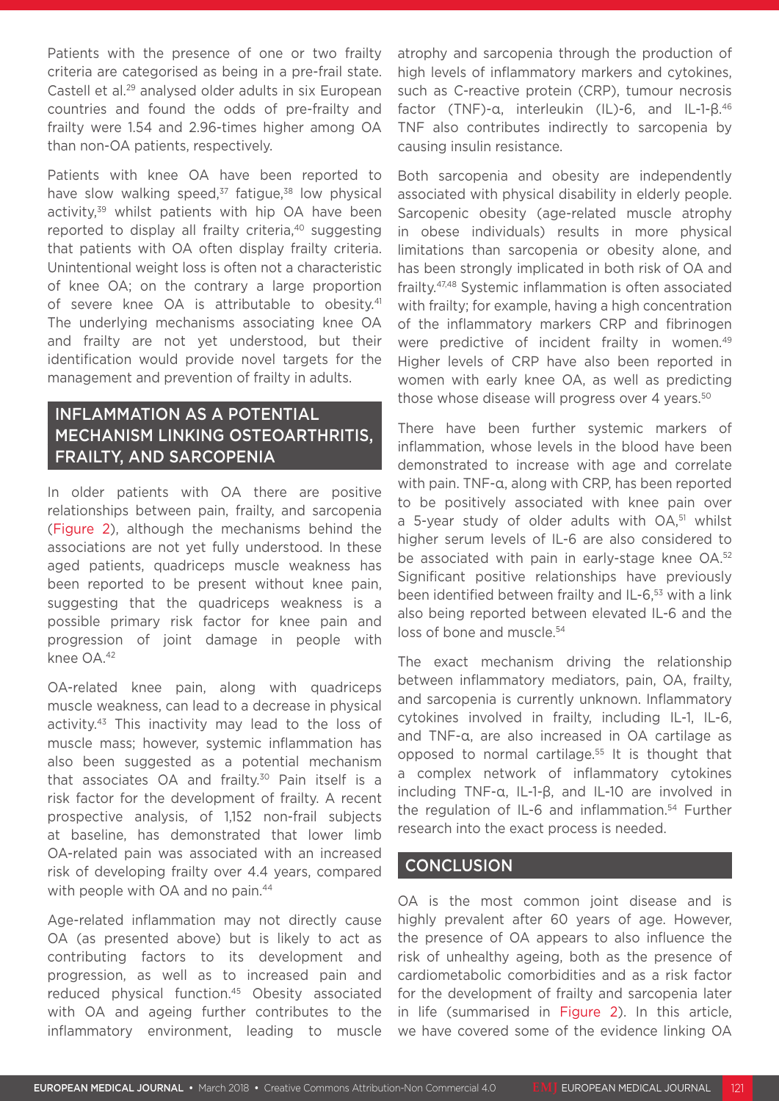Patients with the presence of one or two frailty criteria are categorised as being in a pre-frail state. Castell et al.29 analysed older adults in six European countries and found the odds of pre-frailty and frailty were 1.54 and 2.96-times higher among OA than non-OA patients, respectively.

Patients with knee OA have been reported to have slow walking speed, $37$  fatigue, $38$  low physical activity,<sup>39</sup> whilst patients with hip OA have been reported to display all frailty criteria,<sup>40</sup> suggesting that patients with OA often display frailty criteria. Unintentional weight loss is often not a characteristic of knee OA; on the contrary a large proportion of severe knee OA is attributable to obesity.<sup>41</sup> The underlying mechanisms associating knee OA and frailty are not yet understood, but their identification would provide novel targets for the management and prevention of frailty in adults.

# INFLAMMATION AS A POTENTIAL MECHANISM LINKING OSTEOARTHRITIS, FRAILTY, AND SARCOPENIA

In older patients with OA there are positive relationships between pain, frailty, and sarcopenia (Figure 2), although the mechanisms behind the associations are not yet fully understood. In these aged patients, quadriceps muscle weakness has been reported to be present without knee pain, suggesting that the quadriceps weakness is a possible primary risk factor for knee pain and progression of joint damage in people with knee OA.42

OA-related knee pain, along with quadriceps muscle weakness, can lead to a decrease in physical activity.43 This inactivity may lead to the loss of muscle mass; however, systemic inflammation has also been suggested as a potential mechanism that associates OA and frailty.<sup>30</sup> Pain itself is a risk factor for the development of frailty. A recent prospective analysis, of 1,152 non-frail subjects at baseline, has demonstrated that lower limb OA-related pain was associated with an increased risk of developing frailty over 4.4 years, compared with people with OA and no pain.<sup>44</sup>

Age-related inflammation may not directly cause OA (as presented above) but is likely to act as contributing factors to its development and progression, as well as to increased pain and reduced physical function.45 Obesity associated with OA and ageing further contributes to the inflammatory environment, leading to muscle

atrophy and sarcopenia through the production of high levels of inflammatory markers and cytokines, such as C-reactive protein (CRP), tumour necrosis factor (TNF)-α, interleukin (IL)-6, and IL-1-β.46 TNF also contributes indirectly to sarcopenia by causing insulin resistance.

Both sarcopenia and obesity are independently associated with physical disability in elderly people. Sarcopenic obesity (age-related muscle atrophy in obese individuals) results in more physical limitations than sarcopenia or obesity alone, and has been strongly implicated in both risk of OA and frailty.47,48 Systemic inflammation is often associated with frailty; for example, having a high concentration of the inflammatory markers CRP and fibrinogen were predictive of incident frailty in women.<sup>49</sup> Higher levels of CRP have also been reported in women with early knee OA, as well as predicting those whose disease will progress over 4 years.<sup>50</sup>

There have been further systemic markers of inflammation, whose levels in the blood have been demonstrated to increase with age and correlate with pain. TNF-α, along with CRP, has been reported to be positively associated with knee pain over a 5-year study of older adults with OA.<sup>51</sup> whilst higher serum levels of IL-6 are also considered to be associated with pain in early-stage knee OA.<sup>52</sup> Significant positive relationships have previously been identified between frailty and IL-6,<sup>53</sup> with a link also being reported between elevated IL-6 and the loss of bone and muscle.<sup>54</sup>

The exact mechanism driving the relationship between inflammatory mediators, pain, OA, frailty, and sarcopenia is currently unknown. Inflammatory cytokines involved in frailty, including IL-1, IL-6, and TNF-α, are also increased in OA cartilage as opposed to normal cartilage.55 It is thought that a complex network of inflammatory cytokines including TNF-α, IL-1-β, and IL-10 are involved in the regulation of IL-6 and inflammation.54 Further research into the exact process is needed.

### **CONCLUSION**

OA is the most common joint disease and is highly prevalent after 60 years of age. However, the presence of OA appears to also influence the risk of unhealthy ageing, both as the presence of cardiometabolic comorbidities and as a risk factor for the development of frailty and sarcopenia later in life (summarised in Figure 2). In this article, we have covered some of the evidence linking OA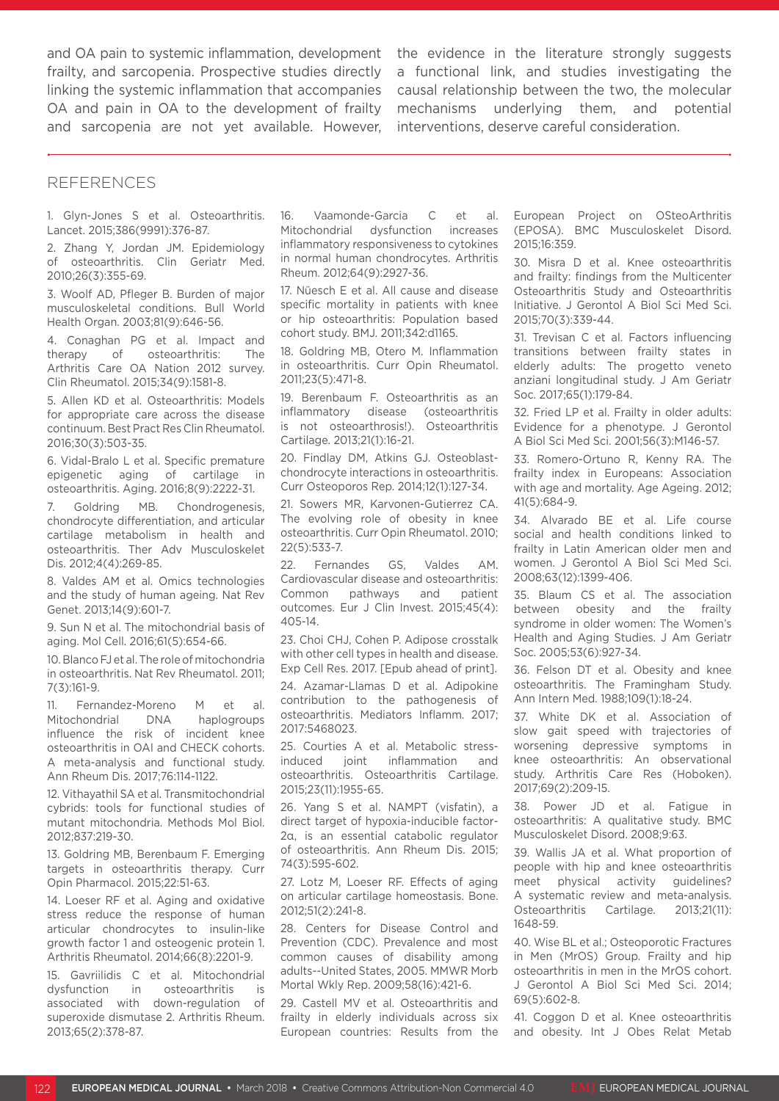and OA pain to systemic inflammation, development frailty, and sarcopenia. Prospective studies directly linking the systemic inflammation that accompanies OA and pain in OA to the development of frailty and sarcopenia are not yet available. However,

the evidence in the literature strongly suggests a functional link, and studies investigating the causal relationship between the two, the molecular mechanisms underlying them, and potential interventions, deserve careful consideration.

### REFERENCES

1. Glyn-Jones S et al. Osteoarthritis. Lancet. 2015;386(9991):376-87.

2. Zhang Y, Jordan JM. Epidemiology of osteoarthritis. Clin Geriatr Med. 2010;26(3):355-69.

3. Woolf AD, Pfleger B. Burden of major musculoskeletal conditions. Bull World Health Organ. 2003;81(9):646-56.

4. Conaghan PG et al. Impact and therapy of osteoarthritis: The Arthritis Care OA Nation 2012 survey. Clin Rheumatol. 2015;34(9):1581-8.

5. Allen KD et al. Osteoarthritis: Models for appropriate care across the disease continuum. Best Pract Res Clin Rheumatol. 2016;30(3):503-35.

6. Vidal-Bralo L et al. Specific premature epigenetic aging of cartilage in osteoarthritis. Aging. 2016;8(9):2222-31.

7. Goldring MB. Chondrogenesis, chondrocyte differentiation, and articular cartilage metabolism in health and osteoarthritis. Ther Adv Musculoskelet Dis. 2012;4(4):269-85.

8. Valdes AM et al. Omics technologies and the study of human ageing. Nat Rev Genet. 2013;14(9):601-7.

9. Sun N et al. The mitochondrial basis of aging. Mol Cell. 2016;61(5):654-66.

10. Blanco FJ et al. The role of mitochondria in osteoarthritis. Nat Rev Rheumatol. 2011; 7(3):161-9.

11. Fernandez-Moreno M et al. Mitochondrial DNA haplogroups influence the risk of incident knee osteoarthritis in OAI and CHECK cohorts. A meta-analysis and functional study. Ann Rheum Dis. 2017;76:114-1122.

12. Vithayathil SA et al. Transmitochondrial cybrids: tools for functional studies of mutant mitochondria. Methods Mol Biol. 2012;837:219-30.

13. Goldring MB, Berenbaum F. Emerging targets in osteoarthritis therapy. Curr Opin Pharmacol. 2015;22:51-63.

14. Loeser RF et al. Aging and oxidative stress reduce the response of human articular chondrocytes to insulin-like growth factor 1 and osteogenic protein 1. Arthritis Rheumatol. 2014;66(8):2201-9.

15. Gavriilidis C et al. Mitochondrial dysfunction in osteoarthritis is associated with down-regulation of superoxide dismutase 2. Arthritis Rheum. 2013;65(2):378-87.

16. Vaamonde-Garcia C et al. Mitochondrial dysfunction increases inflammatory responsiveness to cytokines in normal human chondrocytes. Arthritis Rheum. 2012;64(9):2927-36.

17. Nüesch E et al. All cause and disease specific mortality in patients with knee or hip osteoarthritis: Population based cohort study. BMJ. 2011;342:d1165.

18. Goldring MB, Otero M. Inflammation in osteoarthritis. Curr Opin Rheumatol. 2011;23(5):471-8.

19. Berenbaum F. Osteoarthritis as an inflammatory disease (osteoarthritis is not osteoarthrosis!). Osteoarthritis Cartilage. 2013;21(1):16-21.

20. Findlay DM, Atkins GJ. Osteoblastchondrocyte interactions in osteoarthritis. Curr Osteoporos Rep. 2014;12(1):127-34.

21. Sowers MR, Karvonen-Gutierrez CA. The evolving role of obesity in knee osteoarthritis. Curr Opin Rheumatol. 2010; 22(5):533-7.

22. Fernandes GS, Valdes AM. Cardiovascular disease and osteoarthritis: Common pathways and patient outcomes. Eur J Clin Invest. 2015;45(4): 405-14.

23. Choi CHJ, Cohen P. Adipose crosstalk with other cell types in health and disease. Exp Cell Res. 2017. [Epub ahead of print].

24. Azamar-Llamas D et al. Adipokine contribution to the pathogenesis of osteoarthritis. Mediators Inflamm. 2017; 2017:5468023.

25. Courties A et al. Metabolic stressinduced joint inflammation and osteoarthritis. Osteoarthritis Cartilage. 2015;23(11):1955-65.

26. Yang S et al. NAMPT (visfatin), a direct target of hypoxia-inducible factor-2α, is an essential catabolic regulator of osteoarthritis. Ann Rheum Dis. 2015; 74(3):595-602.

27. Lotz M, Loeser RF. Effects of aging on articular cartilage homeostasis. Bone. 2012;51(2):241-8.

28. Centers for Disease Control and Prevention (CDC). Prevalence and most common causes of disability among adults--United States, 2005. MMWR Morb Mortal Wkly Rep. 2009;58(16):421-6.

29. Castell MV et al. Osteoarthritis and frailty in elderly individuals across six European countries: Results from the

European Project on OSteoArthritis (EPOSA). BMC Musculoskelet Disord. 2015;16:359.

30. Misra D et al. Knee osteoarthritis and frailty: findings from the Multicenter Osteoarthritis Study and Osteoarthritis Initiative. J Gerontol A Biol Sci Med Sci. 2015;70(3):339-44.

31. Trevisan C et al. Factors influencing transitions between frailty states in elderly adults: The progetto veneto anziani longitudinal study. J Am Geriatr Soc. 2017;65(1):179-84.

32. Fried LP et al. Frailty in older adults: Evidence for a phenotype. J Gerontol A Biol Sci Med Sci. 2001;56(3):M146-57.

33. Romero-Ortuno R, Kenny RA. The frailty index in Europeans: Association with age and mortality. Age Ageing. 2012; 41(5):684-9.

34. Alvarado BE et al. Life course social and health conditions linked to frailty in Latin American older men and women. J Gerontol A Biol Sci Med Sci. 2008;63(12):1399-406.

35. Blaum CS et al. The association between obesity and the frailty syndrome in older women: The Women's Health and Aging Studies. J Am Geriatr Soc. 2005;53(6):927-34.

36. Felson DT et al. Obesity and knee osteoarthritis. The Framingham Study. Ann Intern Med. 1988;109(1):18-24.

37. White DK et al. Association of slow gait speed with trajectories of worsening depressive symptoms in knee osteoarthritis: An observational study. Arthritis Care Res (Hoboken). 2017;69(2):209-15.

38. Power JD et al. Fatigue in osteoarthritis: A qualitative study. BMC Musculoskelet Disord. 2008;9:63.

39. Wallis JA et al. What proportion of people with hip and knee osteoarthritis meet physical activity guidelines? A systematic review and meta-analysis. Osteoarthritis Cartilage. 2013;21(11): 1648-59.

40. Wise BL et al.; Osteoporotic Fractures in Men (MrOS) Group. Frailty and hip osteoarthritis in men in the MrOS cohort. J Gerontol A Biol Sci Med Sci. 2014; 69(5):602-8.

41. Coggon D et al. Knee osteoarthritis and obesity. Int J Obes Relat Metab